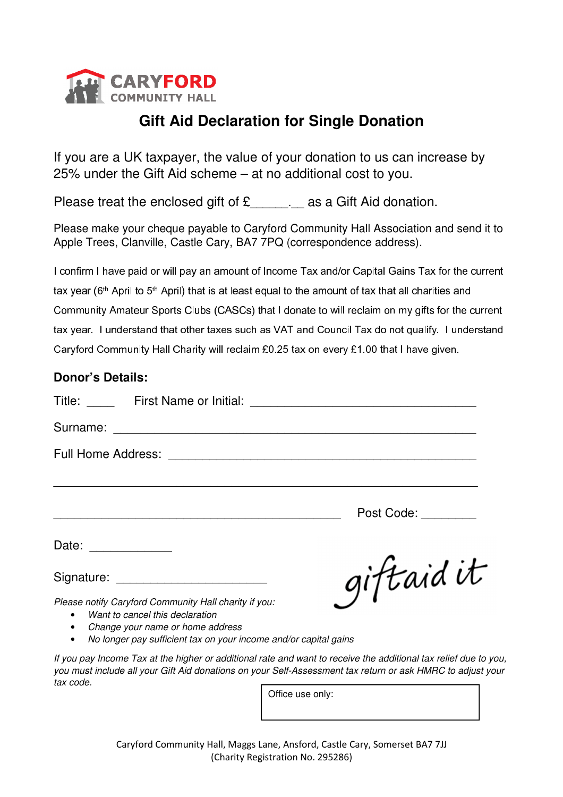

## **Gift Aid Declaration for Single Donation**

If you are a UK taxpayer, the value of your donation to us can increase by 25% under the Gift Aid scheme – at no additional cost to you.

Please treat the enclosed gift of £... as a Gift Aid donation.

Please make your cheque payable to Caryford Community Hall Association and send it to Apple Trees, Clanville, Castle Cary, BA7 7PQ (correspondence address).

I confirm I have paid or will pay an amount of Income Tax and/or Capital Gains Tax for the current tax year ( $6<sup>th</sup>$  April to  $5<sup>th</sup>$  April) that is at least equal to the amount of tax that all charities and Community Amateur Sports Clubs (CASCs) that I donate to will reclaim on my gifts for the current tax year. I understand that other taxes such as VAT and Council Tax do not qualify. I understand Caryford Community Hall Charity will reclaim £0.25 tax on every £1.00 that I have given.

## **Donor's Details:**

|                                                                                                                                                                                                                 | Post Code: |
|-----------------------------------------------------------------------------------------------------------------------------------------------------------------------------------------------------------------|------------|
| Date: ______________                                                                                                                                                                                            |            |
|                                                                                                                                                                                                                 | giftaid it |
| Please notify Caryford Community Hall charity if you:<br>Want to cancel this declaration<br>$\bullet$<br>• Change your name or home address<br>No longer pay sufficient tax on your income and/or capital gains |            |

*If you pay Income Tax at the higher or additional rate and want to receive the additional tax relief due to you, you must include all your Gift Aid donations on your Self-Assessment tax return or ask HMRC to adjust your tax code.* 

Office use only: